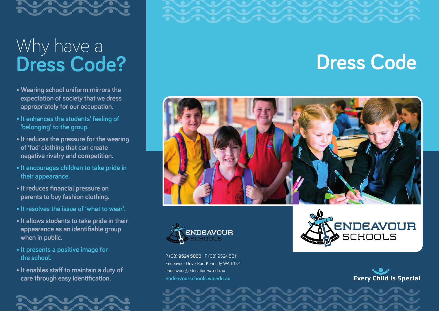

# Why have a **Dress Code?**

- **Wearing school uniform mirrors the expectation of society that we dress appropriately for our occupation.**
- **It enhances the students' feeling of 'belonging' to the group.**
- **It reduces the pressure for the wearing of 'fad' clothing that can create negative rivalry and competition.**
- **It encourages children to take pride in their appearance.**
- **It reduces financial pressure on parents to buy fashion clothing.**
- **It resolves the issue of 'what to wear'.**
- **It allows students to take pride in their appearance as an identifiable group when in public.**
- **It presents a positive image for the school.**
- **It enables staff to maintain a duty of care through easy identification.**



# **Dress Code**





P (08) **9524 5000** F (08) 9524 5011 Endeavour Drive, Port Kennedy, WA 6172 endeavour@education.wa.edu.au **endeavourschools.wa.edu.au**